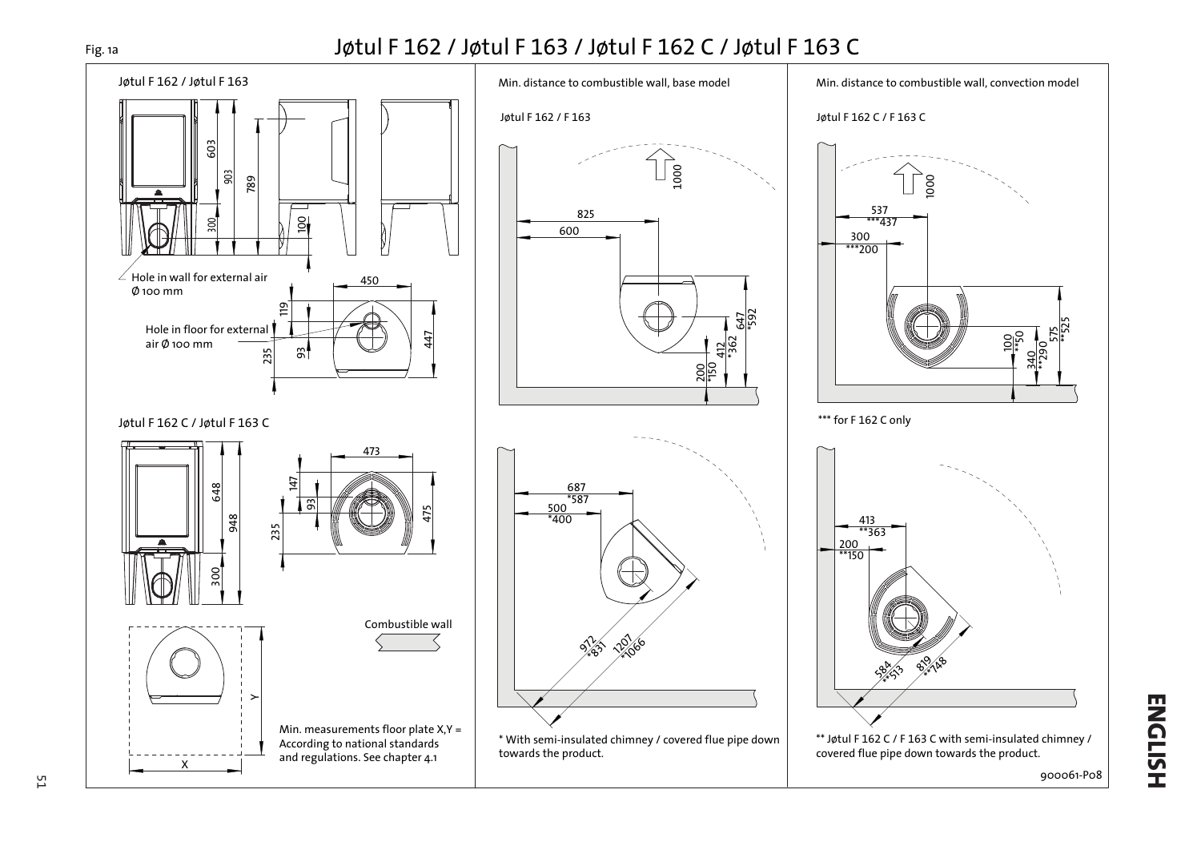## Jøtul F 162 / Jøtul F 163 / Jøtul F 162 C / Jøtul F 163 C

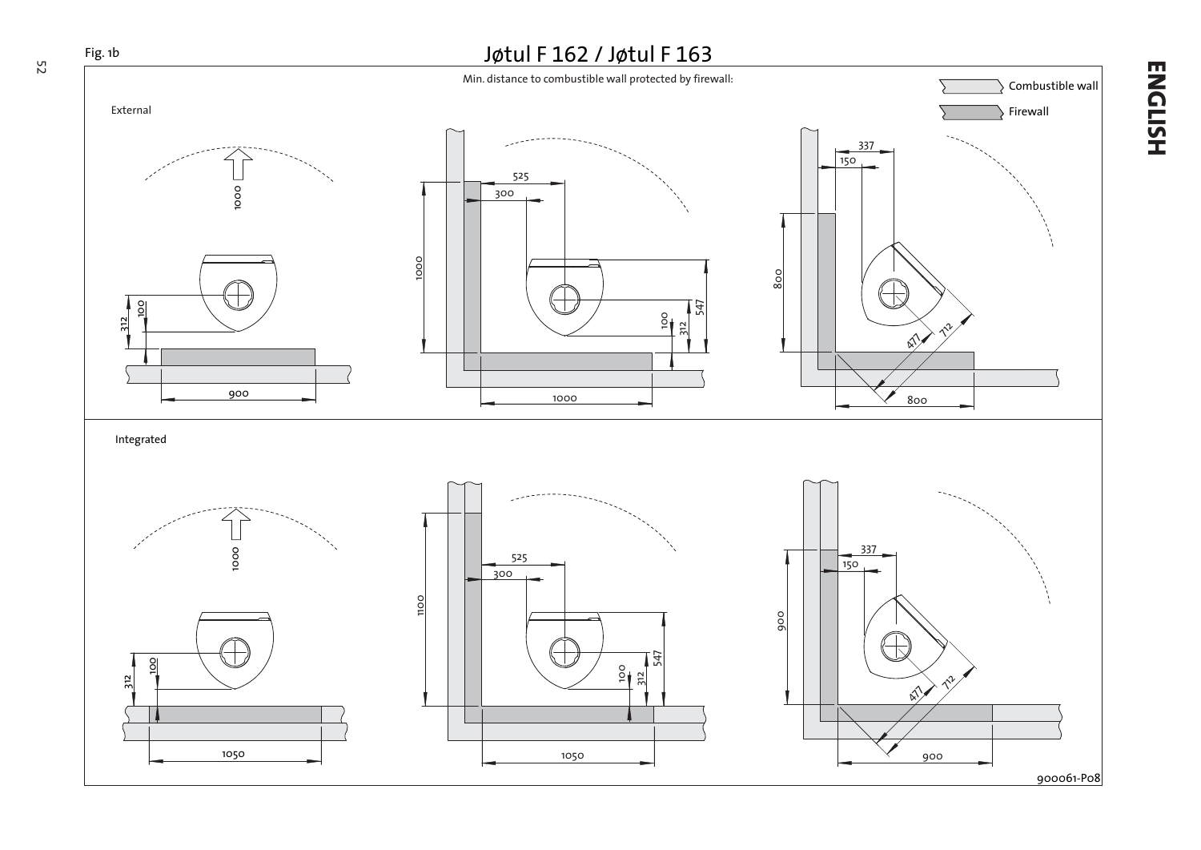

**ENGLISH**